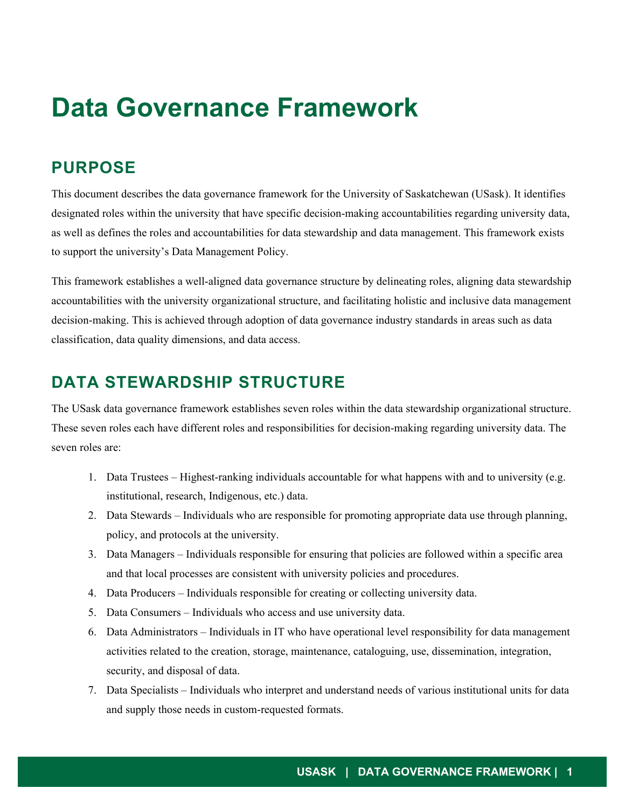# **Data Governance Framework**

### **PURPOSE**

This document describes the data governance framework for the University of Saskatchewan (USask). It identifies designated roles within the university that have specific decision-making accountabilities regarding university data, as well as defines the roles and accountabilities for data stewardship and data management. This framework exists to support the university's Data Management Policy.

This framework establishes a well-aligned data governance structure by delineating roles, aligning data stewardship accountabilities with the university organizational structure, and facilitating holistic and inclusive data management decision-making. This is achieved through adoption of data governance industry standards in areas such as data classification, data quality dimensions, and data access.

### **DATA STEWARDSHIP STRUCTURE**

The USask data governance framework establishes seven roles within the data stewardship organizational structure. These seven roles each have different roles and responsibilities for decision-making regarding university data. The seven roles are:

- 1. Data Trustees Highest-ranking individuals accountable for what happens with and to university (e.g. institutional, research, Indigenous, etc.) data.
- 2. Data Stewards Individuals who are responsible for promoting appropriate data use through planning, policy, and protocols at the university.
- 3. Data Managers Individuals responsible for ensuring that policies are followed within a specific area and that local processes are consistent with university policies and procedures.
- 4. Data Producers Individuals responsible for creating or collecting university data.
- 5. Data Consumers Individuals who access and use university data.
- 6. Data Administrators Individuals in IT who have operational level responsibility for data management activities related to the creation, storage, maintenance, cataloguing, use, dissemination, integration, security, and disposal of data.
- 7. Data Specialists Individuals who interpret and understand needs of various institutional units for data and supply those needs in custom-requested formats.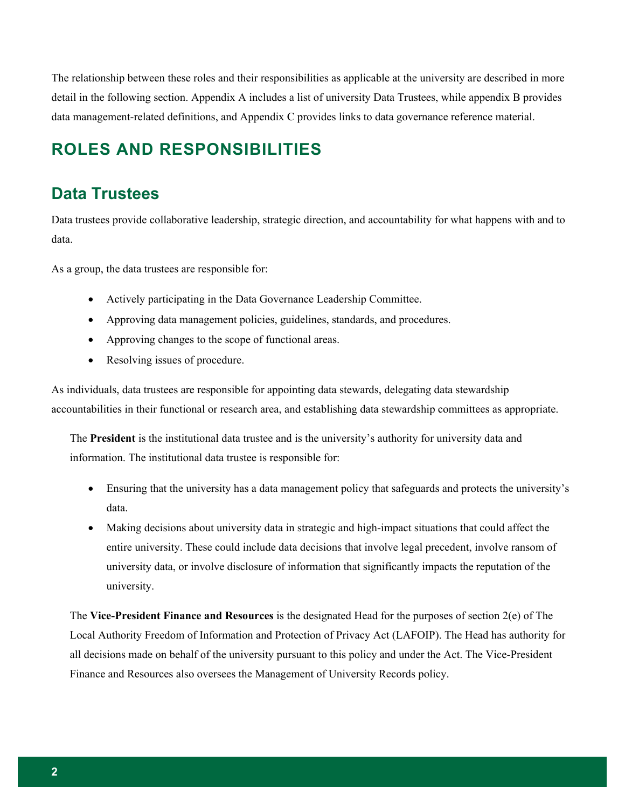The relationship between these roles and their responsibilities as applicable at the university are described in more detail in the following section. Appendix A includes a list of university Data Trustees, while appendix B provides data management-related definitions, and Appendix C provides links to data governance reference material.

# **ROLES AND RESPONSIBILITIES**

#### **Data Trustees**

Data trustees provide collaborative leadership, strategic direction, and accountability for what happens with and to data.

As a group, the data trustees are responsible for:

- Actively participating in the Data Governance Leadership Committee.
- Approving data management policies, guidelines, standards, and procedures.
- Approving changes to the scope of functional areas.
- Resolving issues of procedure.

As individuals, data trustees are responsible for appointing data stewards, delegating data stewardship accountabilities in their functional or research area, and establishing data stewardship committees as appropriate.

The **President** is the institutional data trustee and is the university's authority for university data and information. The institutional data trustee is responsible for:

- Ensuring that the university has a data management policy that safeguards and protects the university's data.
- Making decisions about university data in strategic and high-impact situations that could affect the entire university. These could include data decisions that involve legal precedent, involve ransom of university data, or involve disclosure of information that significantly impacts the reputation of the university.

The **Vice-President Finance and Resources** is the designated Head for the purposes of section 2(e) of The Local Authority Freedom of Information and Protection of Privacy Act (LAFOIP). The Head has authority for all decisions made on behalf of the university pursuant to this policy and under the Act. The Vice-President Finance and Resources also oversees the Management of University Records policy.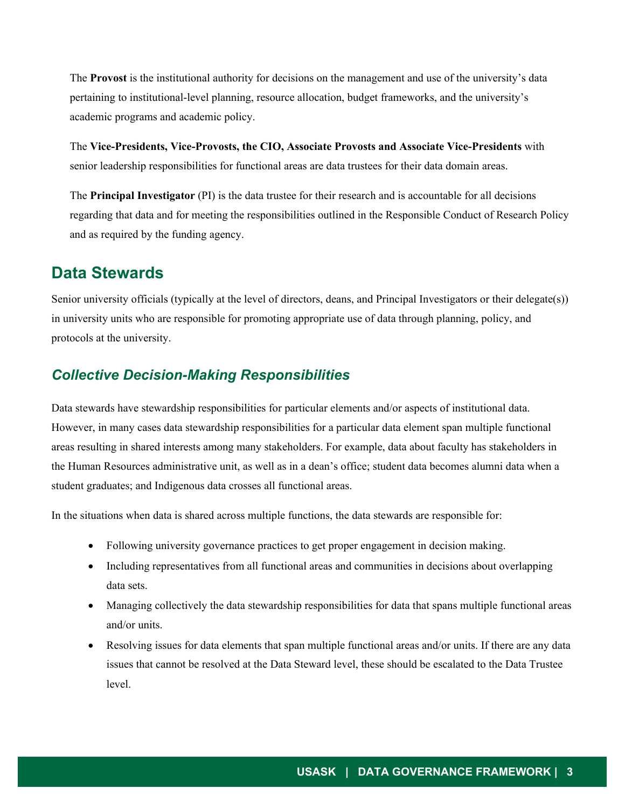The **Provost** is the institutional authority for decisions on the management and use of the university's data pertaining to institutional-level planning, resource allocation, budget frameworks, and the university's academic programs and academic policy.

The **Vice-Presidents, Vice-Provosts, the CIO, Associate Provosts and Associate Vice-Presidents** with senior leadership responsibilities for functional areas are data trustees for their data domain areas.

The **Principal Investigator** (PI) is the data trustee for their research and is accountable for all decisions regarding that data and for meeting the responsibilities outlined in the Responsible Conduct of Research Policy and as required by the funding agency.

#### **Data Stewards**

Senior university officials (typically at the level of directors, deans, and Principal Investigators or their delegate(s)) in university units who are responsible for promoting appropriate use of data through planning, policy, and protocols at the university.

#### *Collective Decision-Making Responsibilities*

Data stewards have stewardship responsibilities for particular elements and/or aspects of institutional data. However, in many cases data stewardship responsibilities for a particular data element span multiple functional areas resulting in shared interests among many stakeholders. For example, data about faculty has stakeholders in the Human Resources administrative unit, as well as in a dean's office; student data becomes alumni data when a student graduates; and Indigenous data crosses all functional areas.

In the situations when data is shared across multiple functions, the data stewards are responsible for:

- Following university governance practices to get proper engagement in decision making.
- Including representatives from all functional areas and communities in decisions about overlapping data sets.
- Managing collectively the data stewardship responsibilities for data that spans multiple functional areas and/or units.
- Resolving issues for data elements that span multiple functional areas and/or units. If there are any data issues that cannot be resolved at the Data Steward level, these should be escalated to the Data Trustee level.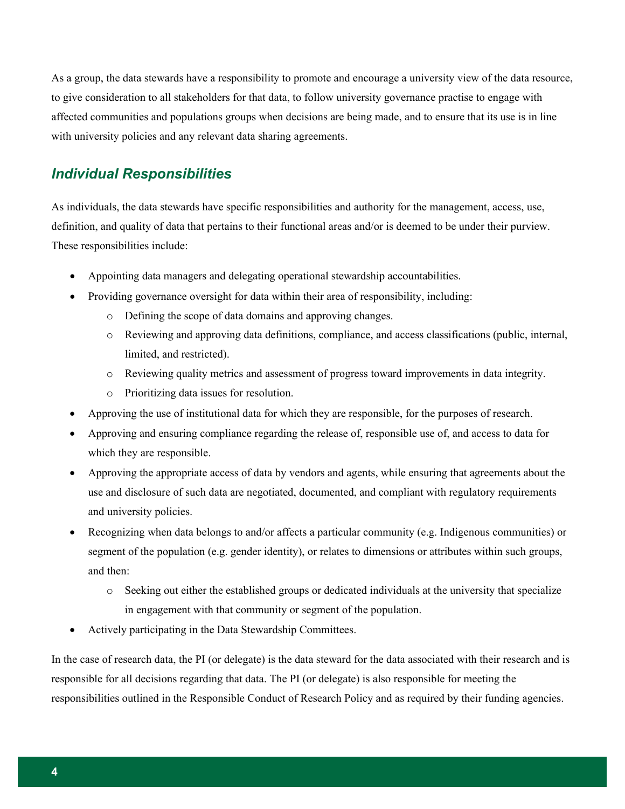As a group, the data stewards have a responsibility to promote and encourage a university view of the data resource, to give consideration to all stakeholders for that data, to follow university governance practise to engage with affected communities and populations groups when decisions are being made, and to ensure that its use is in line with university policies and any relevant data sharing agreements.

#### *Individual Responsibilities*

As individuals, the data stewards have specific responsibilities and authority for the management, access, use, definition, and quality of data that pertains to their functional areas and/or is deemed to be under their purview. These responsibilities include:

- Appointing data managers and delegating operational stewardship accountabilities.
- Providing governance oversight for data within their area of responsibility, including:
	- o Defining the scope of data domains and approving changes.
	- o Reviewing and approving data definitions, compliance, and access classifications (public, internal, limited, and restricted).
	- o Reviewing quality metrics and assessment of progress toward improvements in data integrity.
	- o Prioritizing data issues for resolution.
- Approving the use of institutional data for which they are responsible, for the purposes of research.
- Approving and ensuring compliance regarding the release of, responsible use of, and access to data for which they are responsible.
- Approving the appropriate access of data by vendors and agents, while ensuring that agreements about the use and disclosure of such data are negotiated, documented, and compliant with regulatory requirements and university policies.
- Recognizing when data belongs to and/or affects a particular community (e.g. Indigenous communities) or segment of the population (e.g. gender identity), or relates to dimensions or attributes within such groups, and then:
	- o Seeking out either the established groups or dedicated individuals at the university that specialize in engagement with that community or segment of the population.
- Actively participating in the Data Stewardship Committees.

In the case of research data, the PI (or delegate) is the data steward for the data associated with their research and is responsible for all decisions regarding that data. The PI (or delegate) is also responsible for meeting the responsibilities outlined in the Responsible Conduct of Research Policy and as required by their funding agencies.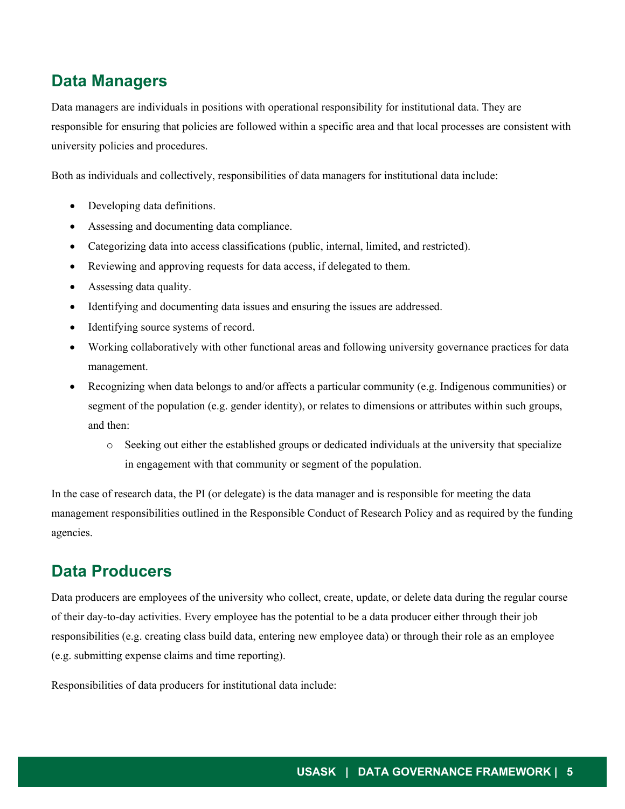#### **Data Managers**

Data managers are individuals in positions with operational responsibility for institutional data. They are responsible for ensuring that policies are followed within a specific area and that local processes are consistent with university policies and procedures.

Both as individuals and collectively, responsibilities of data managers for institutional data include:

- Developing data definitions.
- Assessing and documenting data compliance.
- Categorizing data into access classifications (public, internal, limited, and restricted).
- Reviewing and approving requests for data access, if delegated to them.
- Assessing data quality.
- Identifying and documenting data issues and ensuring the issues are addressed.
- Identifying source systems of record.
- Working collaboratively with other functional areas and following university governance practices for data management.
- Recognizing when data belongs to and/or affects a particular community (e.g. Indigenous communities) or segment of the population (e.g. gender identity), or relates to dimensions or attributes within such groups, and then:
	- o Seeking out either the established groups or dedicated individuals at the university that specialize in engagement with that community or segment of the population.

In the case of research data, the PI (or delegate) is the data manager and is responsible for meeting the data management responsibilities outlined in the Responsible Conduct of Research Policy and as required by the funding agencies.

#### **Data Producers**

Data producers are employees of the university who collect, create, update, or delete data during the regular course of their day-to-day activities. Every employee has the potential to be a data producer either through their job responsibilities (e.g. creating class build data, entering new employee data) or through their role as an employee (e.g. submitting expense claims and time reporting).

Responsibilities of data producers for institutional data include: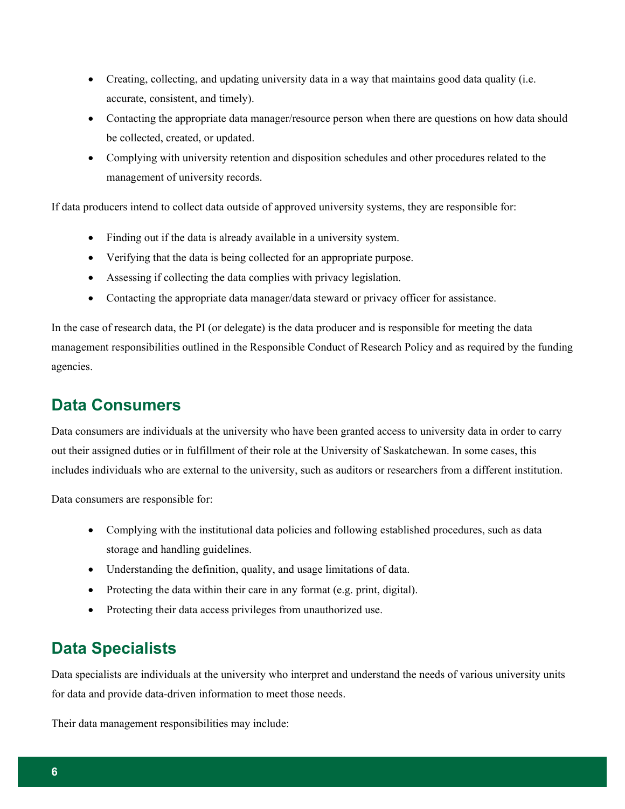- Creating, collecting, and updating university data in a way that maintains good data quality (i.e. accurate, consistent, and timely).
- Contacting the appropriate data manager/resource person when there are questions on how data should be collected, created, or updated.
- Complying with university retention and disposition schedules and other procedures related to the management of university records.

If data producers intend to collect data outside of approved university systems, they are responsible for:

- Finding out if the data is already available in a university system.
- Verifying that the data is being collected for an appropriate purpose.
- Assessing if collecting the data complies with privacy legislation.
- Contacting the appropriate data manager/data steward or privacy officer for assistance.

In the case of research data, the PI (or delegate) is the data producer and is responsible for meeting the data management responsibilities outlined in the Responsible Conduct of Research Policy and as required by the funding agencies.

### **Data Consumers**

Data consumers are individuals at the university who have been granted access to university data in order to carry out their assigned duties or in fulfillment of their role at the University of Saskatchewan. In some cases, this includes individuals who are external to the university, such as auditors or researchers from a different institution.

Data consumers are responsible for:

- Complying with the institutional data policies and following established procedures, such as data storage and handling guidelines.
- Understanding the definition, quality, and usage limitations of data.
- Protecting the data within their care in any format (e.g. print, digital).
- Protecting their data access privileges from unauthorized use.

#### **Data Specialists**

Data specialists are individuals at the university who interpret and understand the needs of various university units for data and provide data-driven information to meet those needs.

Their data management responsibilities may include: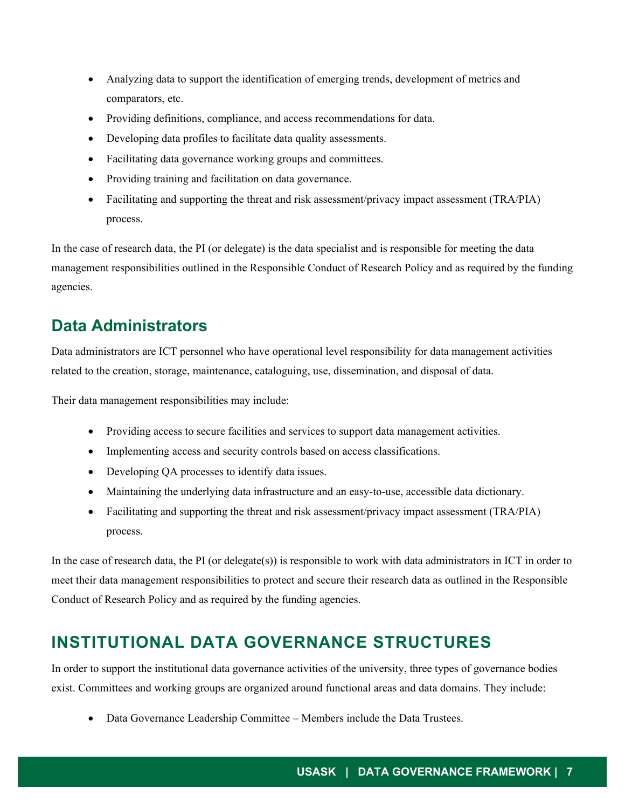- Analyzing data to support the identification of emerging trends, development of metrics and comparators, etc.
- Providing definitions, compliance, and access recommendations for data.
- Developing data profiles to facilitate data quality assessments.
- Facilitating data governance working groups and committees.
- Providing training and facilitation on data governance.
- Facilitating and supporting the threat and risk assessment/privacy impact assessment (TRA/PIA) process.

In the case of research data, the PI (or delegate) is the data specialist and is responsible for meeting the data management responsibilities outlined in the Responsible Conduct of Research Policy and as required by the funding agencies.

### **Data Administrators**

Data administrators are ICT personnel who have operational level responsibility for data management activities related to the creation, storage, maintenance, cataloguing, use, dissemination, and disposal of data.

Their data management responsibilities may include:

- Providing access to secure facilities and services to support data management activities.
- Implementing access and security controls based on access classifications.
- Developing QA processes to identify data issues.
- Maintaining the underlying data infrastructure and an easy-to-use, accessible data dictionary.
- Facilitating and supporting the threat and risk assessment/privacy impact assessment (TRA/PIA) process.

In the case of research data, the PI (or delegate(s)) is responsible to work with data administrators in ICT in order to meet their data management responsibilities to protect and secure their research data as outlined in the Responsible Conduct of Research Policy and as required by the funding agencies.

#### **INSTITUTIONAL DATA GOVERNANCE STRUCTURES**

In order to support the institutional data governance activities of the university, three types of governance bodies exist. Committees and working groups are organized around functional areas and data domains. They include:

• Data Governance Leadership Committee – Members include the Data Trustees.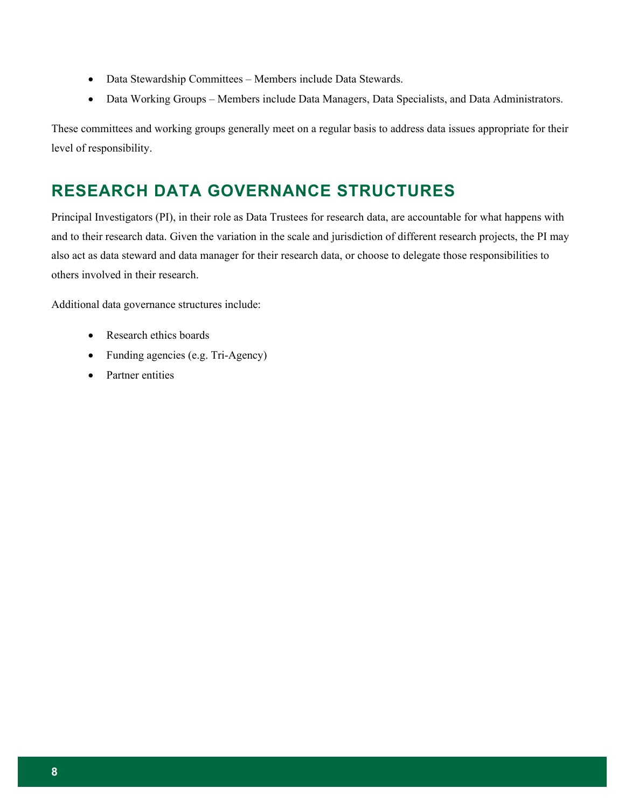- Data Stewardship Committees Members include Data Stewards.
- Data Working Groups Members include Data Managers, Data Specialists, and Data Administrators.

These committees and working groups generally meet on a regular basis to address data issues appropriate for their level of responsibility.

# **RESEARCH DATA GOVERNANCE STRUCTURES**

Principal Investigators (PI), in their role as Data Trustees for research data, are accountable for what happens with and to their research data. Given the variation in the scale and jurisdiction of different research projects, the PI may also act as data steward and data manager for their research data, or choose to delegate those responsibilities to others involved in their research.

Additional data governance structures include:

- Research ethics boards
- Funding agencies (e.g. Tri-Agency)
- Partner entities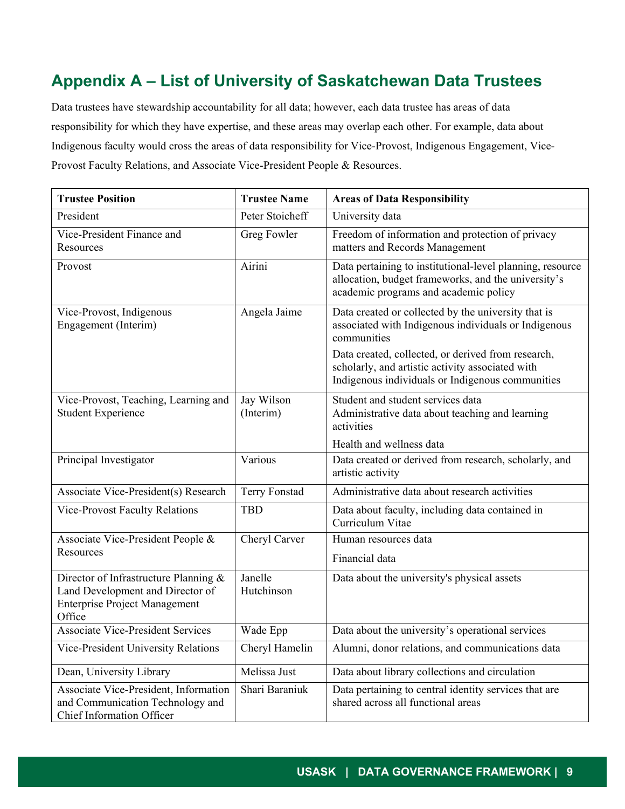# **Appendix A – List of University of Saskatchewan Data Trustees**

Data trustees have stewardship accountability for all data; however, each data trustee has areas of data responsibility for which they have expertise, and these areas may overlap each other. For example, data about Indigenous faculty would cross the areas of data responsibility for Vice-Provost, Indigenous Engagement, Vice-Provost Faculty Relations, and Associate Vice-President People & Resources.

| <b>Trustee Position</b>                                                                                                     | <b>Trustee Name</b>     | <b>Areas of Data Responsibility</b>                                                                                                                        |
|-----------------------------------------------------------------------------------------------------------------------------|-------------------------|------------------------------------------------------------------------------------------------------------------------------------------------------------|
| President                                                                                                                   | Peter Stoicheff         | University data                                                                                                                                            |
| Vice-President Finance and<br>Resources                                                                                     | <b>Greg Fowler</b>      | Freedom of information and protection of privacy<br>matters and Records Management                                                                         |
| Provost                                                                                                                     | Airini                  | Data pertaining to institutional-level planning, resource<br>allocation, budget frameworks, and the university's<br>academic programs and academic policy  |
| Vice-Provost, Indigenous<br>Engagement (Interim)                                                                            | Angela Jaime            | Data created or collected by the university that is<br>associated with Indigenous individuals or Indigenous<br>communities                                 |
|                                                                                                                             |                         | Data created, collected, or derived from research,<br>scholarly, and artistic activity associated with<br>Indigenous individuals or Indigenous communities |
| Vice-Provost, Teaching, Learning and<br><b>Student Experience</b>                                                           | Jay Wilson<br>(Interim) | Student and student services data<br>Administrative data about teaching and learning<br>activities                                                         |
|                                                                                                                             |                         | Health and wellness data                                                                                                                                   |
| Principal Investigator                                                                                                      | Various                 | Data created or derived from research, scholarly, and<br>artistic activity                                                                                 |
| Associate Vice-President(s) Research                                                                                        | <b>Terry Fonstad</b>    | Administrative data about research activities                                                                                                              |
| <b>Vice-Provost Faculty Relations</b>                                                                                       | <b>TBD</b>              | Data about faculty, including data contained in<br>Curriculum Vitae                                                                                        |
| Associate Vice-President People &<br>Resources                                                                              | Cheryl Carver           | Human resources data                                                                                                                                       |
|                                                                                                                             |                         | Financial data                                                                                                                                             |
| Director of Infrastructure Planning &<br>Land Development and Director of<br><b>Enterprise Project Management</b><br>Office | Janelle<br>Hutchinson   | Data about the university's physical assets                                                                                                                |
| <b>Associate Vice-President Services</b>                                                                                    | Wade Epp                | Data about the university's operational services                                                                                                           |
| Vice-President University Relations                                                                                         | Cheryl Hamelin          | Alumni, donor relations, and communications data                                                                                                           |
| Dean, University Library                                                                                                    | Melissa Just            | Data about library collections and circulation                                                                                                             |
| Associate Vice-President, Information<br>and Communication Technology and<br>Chief Information Officer                      | Shari Baraniuk          | Data pertaining to central identity services that are<br>shared across all functional areas                                                                |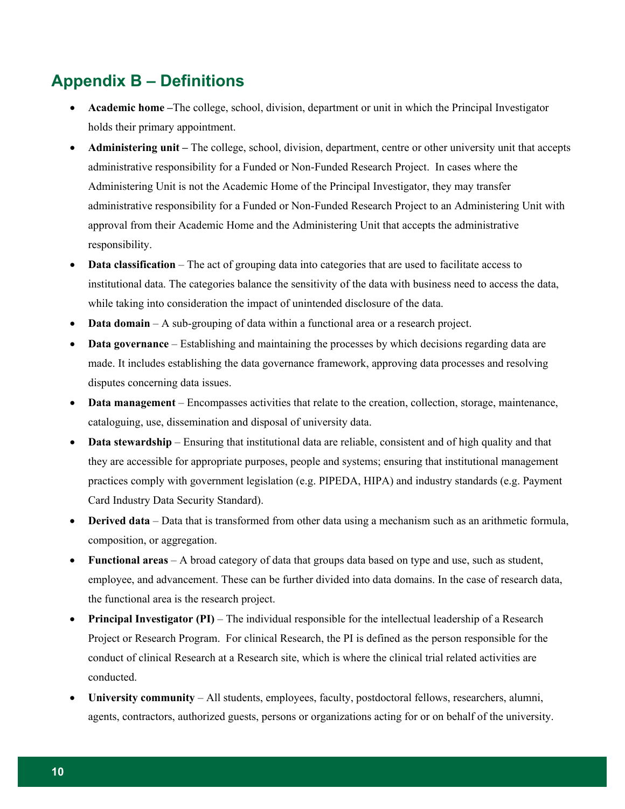### **Appendix B – Definitions**

- **Academic home –**The college, school, division, department or unit in which the Principal Investigator holds their primary appointment.
- **Administering unit –** The college, school, division, department, centre or other university unit that accepts administrative responsibility for a Funded or Non-Funded Research Project. In cases where the Administering Unit is not the Academic Home of the Principal Investigator, they may transfer administrative responsibility for a Funded or Non-Funded Research Project to an Administering Unit with approval from their Academic Home and the Administering Unit that accepts the administrative responsibility.
- **Data classification** The act of grouping data into categories that are used to facilitate access to institutional data. The categories balance the sensitivity of the data with business need to access the data, while taking into consideration the impact of unintended disclosure of the data.
- **Data domain** A sub-grouping of data within a functional area or a research project.
- **Data governance**  Establishing and maintaining the processes by which decisions regarding data are made. It includes establishing the data governance framework, approving data processes and resolving disputes concerning data issues.
- **Data management** Encompasses activities that relate to the creation, collection, storage, maintenance, cataloguing, use, dissemination and disposal of university data.
- **Data stewardship**  Ensuring that institutional data are reliable, consistent and of high quality and that they are accessible for appropriate purposes, people and systems; ensuring that institutional management practices comply with government legislation (e.g. PIPEDA, HIPA) and industry standards (e.g. Payment Card Industry Data Security Standard).
- **Derived data**  Data that is transformed from other data using a mechanism such as an arithmetic formula, composition, or aggregation.
- **Functional areas** A broad category of data that groups data based on type and use, such as student, employee, and advancement. These can be further divided into data domains. In the case of research data, the functional area is the research project.
- **Principal Investigator (PI)** The individual responsible for the intellectual leadership of a Research Project or Research Program. For clinical Research, the PI is defined as the person responsible for the conduct of clinical Research at a Research site, which is where the clinical trial related activities are conducted.
- **University community** All students, employees, faculty, postdoctoral fellows, researchers, alumni, agents, contractors, authorized guests, persons or organizations acting for or on behalf of the university.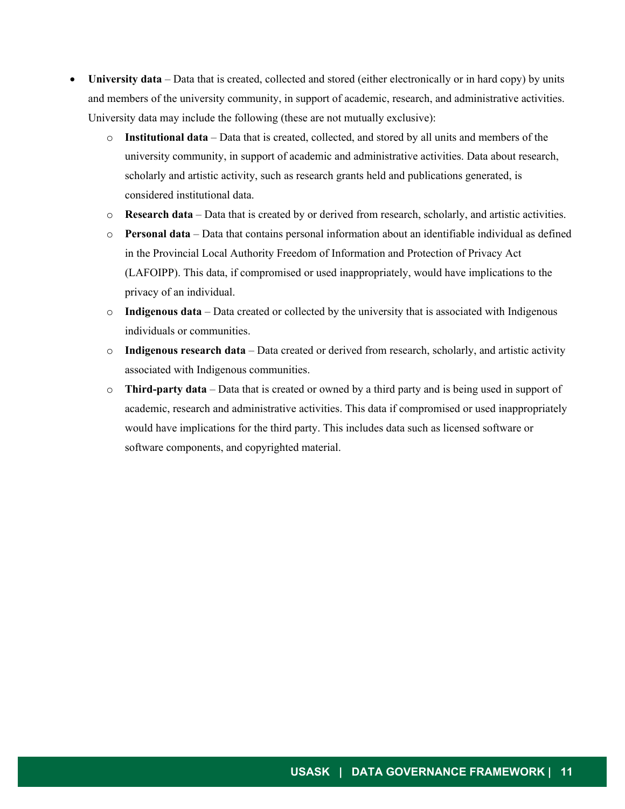- **University data**  Data that is created, collected and stored (either electronically or in hard copy) by units and members of the university community, in support of academic, research, and administrative activities. University data may include the following (these are not mutually exclusive):
	- o **Institutional data**  Data that is created, collected, and stored by all units and members of the university community, in support of academic and administrative activities. Data about research, scholarly and artistic activity, such as research grants held and publications generated, is considered institutional data.
	- o **Research data** Data that is created by or derived from research, scholarly, and artistic activities.
	- o **Personal data** Data that contains personal information about an identifiable individual as defined in the Provincial Local Authority Freedom of Information and Protection of Privacy Act (LAFOIPP). This data, if compromised or used inappropriately, would have implications to the privacy of an individual.
	- o **Indigenous data** Data created or collected by the university that is associated with Indigenous individuals or communities.
	- o **Indigenous research data** Data created or derived from research, scholarly, and artistic activity associated with Indigenous communities.
	- o **Third-party data** Data that is created or owned by a third party and is being used in support of academic, research and administrative activities. This data if compromised or used inappropriately would have implications for the third party. This includes data such as licensed software or software components, and copyrighted material.